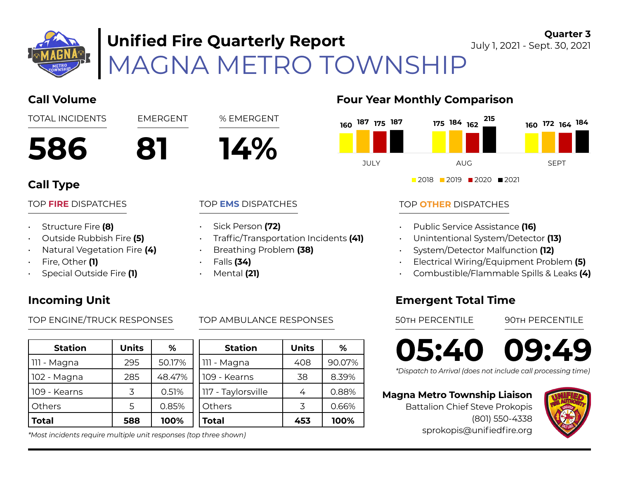

# MAGNA METRO TOWNSHIP **Unified Fire Quarterly Report**

**Quarter 3** July 1, 2021 - Sept. 30, 2021

## **Call Volume Four Year Monthly Comparison 586 81 14%** TOTAL INCIDENTS EMERGENT % EMERGENT **Call Type** TOP **FIRE** DISPATCHES **2018 2019 2020 2021**

### • Structure Fire **(8)**

- Outside Rubbish Fire **(5)**
- Natural Vegetation Fire **(4)**
- Fire, Other **(1)**
- Special Outside Fire **(1)**

## **Incoming Unit**

TOP ENGINE/TRUCK RESPONSES TOP AMBULANCE RESPONSES 50TH PERCENTILE 90TH PERCENTILE

| <b>Station</b> | <b>Units</b> | ℅      |  |
|----------------|--------------|--------|--|
| 111 - Magna    | 295          | 50.17% |  |
| 102 - Magna    | 285          | 48.47% |  |
| 109 - Kearns   | マ            | 0.51%  |  |
| <b>Others</b>  | 5            | 0.85%  |  |
| <b>Total</b>   | 588          | 100%   |  |

*\*Most incidents require multiple unit responses (top three shown)*

### TOP **EMS** DISPATCHES

- Sick Person **(72)**
- Traffic/Transportation Incidents **(41)**
- Breathing Problem **(38)**
- Falls **(34)**
- Mental **(21)**



## TOP **OTHER** DISPATCHES

- Public Service Assistance **(16)**
- Unintentional System/Detector **(13)**
- System/Detector Malfunction **(12)**
- Electrical Wiring/Equipment Problem **(5)**
- Combustible/Flammable Spills & Leaks **(4)**

## **Emergent Total Time**

**05:40 09:49**

*\*Dispatch to Arrival (does not include call processing time)*

### **Magna Metro Township Liaison**

Battalion Chief Steve Prokopis (801) 550-4338 sprokopis@unifiedfire.org



| %       | <b>Station</b>     | <b>Units</b> | ℅      |  |
|---------|--------------------|--------------|--------|--|
| $.17\%$ | 111 - Magna        | 408          | 90.07% |  |
| 3.47%   | 109 - Kearns       | 38           | 8.39%  |  |
| .51%    | 117 - Taylorsville | 4            | 0.88%  |  |
| 85%     | Others             | 3            | 0.66%  |  |
| ነ0%     | Total              | 453          | 100%   |  |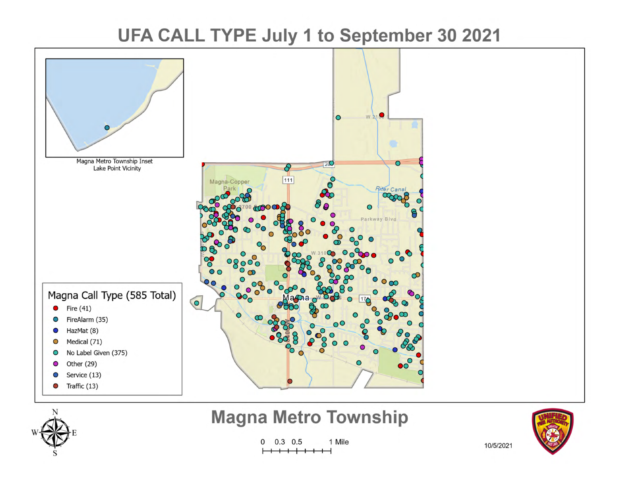# UFA CALL TYPE July 1 to September 30 2021





## **Magna Metro Township**

 $\mathbf{0}$  $0.3 \quad 0.5$ 1 Mile 



10/5/2021